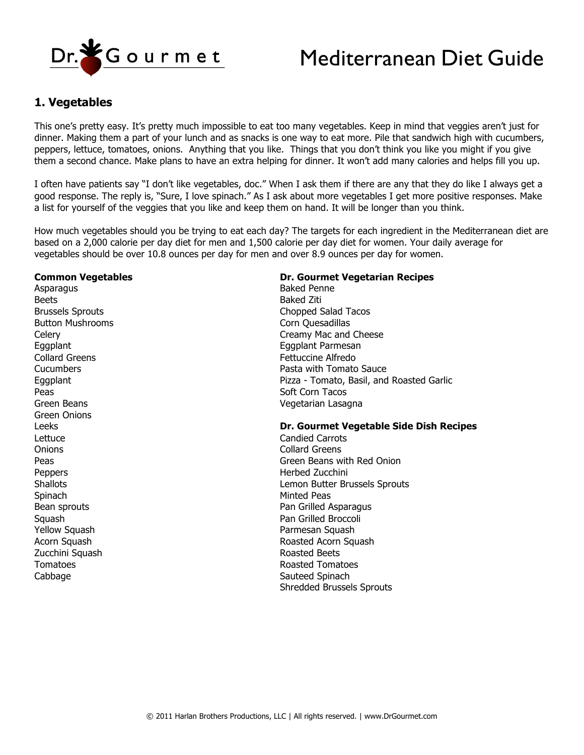

# Mediterranean Diet Guide

## **1. Vegetables**

This one's pretty easy. It's pretty much impossible to eat too many vegetables. Keep in mind that veggies aren't just for dinner. Making them a part of your lunch and as snacks is one way to eat more. Pile that sandwich high with cucumbers, peppers, lettuce, tomatoes, onions. Anything that you like. Things that you don't think you like you might if you give them a second chance. Make plans to have an extra helping for dinner. It won't add many calories and helps fill you up.

I often have patients say "I don't like vegetables, doc." When I ask them if there are any that they do like I always get a good response. The reply is, "Sure, I love spinach." As I ask about more vegetables I get more positive responses. Make a list for yourself of the veggies that you like and keep them on hand. It will be longer than you think.

How much vegetables should you be trying to eat each day? The targets for each ingredient in the Mediterranean diet are based on a 2,000 calorie per day diet for men and 1,500 calorie per day diet for women. Your daily average for vegetables should be over 10.8 ounces per day for men and over 8.9 ounces per day for women.

#### **Common Vegetables**

Asparagus Beets Brussels Sprouts Button Mushrooms **Celerv** Eggplant Collard Greens Cucumbers Eggplant Peas Green Beans Green Onions Leeks Lettuce **Onions** Peas Peppers **Shallots Spinach** Bean sprouts **Squash** Yellow Squash Acorn Squash Zucchini Squash Tomatoes Cabbage

#### **Dr. Gourmet Vegetarian Recipes**

Baked Penne Baked Ziti Chopped Salad Tacos Corn Quesadillas Creamy Mac and Cheese Eggplant Parmesan Fettuccine Alfredo Pasta with Tomato Sauce Pizza - Tomato, Basil, and Roasted Garlic Soft Corn Tacos Vegetarian Lasagna

#### **Dr. Gourmet Vegetable Side Dish Recipes**

Candied Carrots Collard Greens Green Beans with Red Onion Herbed Zucchini Lemon Butter Brussels Sprouts Minted Peas Pan Grilled Asparagus Pan Grilled Broccoli Parmesan Squash Roasted Acorn Squash Roasted Beets Roasted Tomatoes Sauteed Spinach Shredded Brussels Sprouts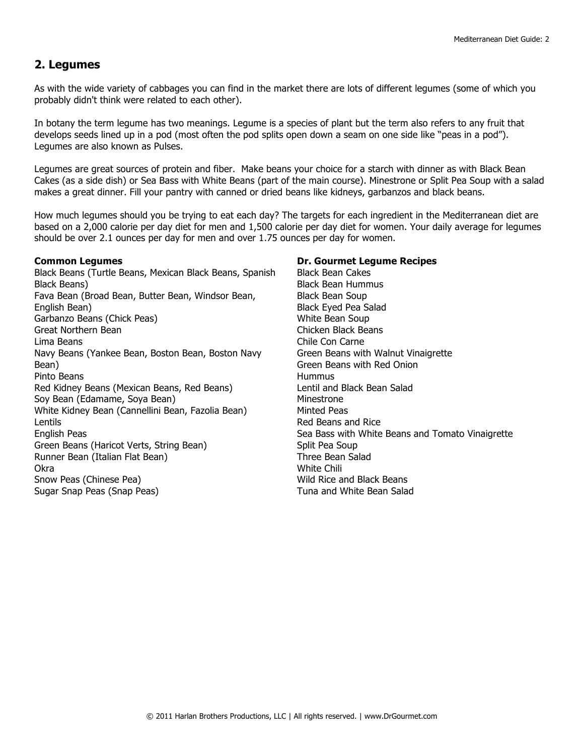## **2. Legumes**

As with the wide variety of cabbages you can find in the market there are lots of different legumes (some of which you probably didn't think were related to each other).

In botany the term legume has two meanings. Legume is a species of plant but the term also refers to any fruit that develops seeds lined up in a pod (most often the pod splits open down a seam on one side like "peas in a pod"). Legumes are also known as Pulses.

Legumes are great sources of protein and fiber. Make beans your choice for a starch with dinner as with Black Bean Cakes (as a side dish) or Sea Bass with White Beans (part of the main course). Minestrone or Split Pea Soup with a salad makes a great dinner. Fill your pantry with canned or dried beans like kidneys, garbanzos and black beans.

How much legumes should you be trying to eat each day? The targets for each ingredient in the Mediterranean diet are based on a 2,000 calorie per day diet for men and 1,500 calorie per day diet for women. Your daily average for legumes should be over 2.1 ounces per day for men and over 1.75 ounces per day for women.

#### **Common Legumes**

Black Beans (Turtle Beans, Mexican Black Beans, Spanish Black Beans) Fava Bean (Broad Bean, Butter Bean, Windsor Bean, English Bean) Garbanzo Beans (Chick Peas) Great Northern Bean Lima Beans Navy Beans (Yankee Bean, Boston Bean, Boston Navy Bean) Pinto Beans Red Kidney Beans (Mexican Beans, Red Beans) Soy Bean (Edamame, Soya Bean) White Kidney Bean (Cannellini Bean, Fazolia Bean) Lentils English Peas Green Beans (Haricot Verts, String Bean) Runner Bean (Italian Flat Bean) Okra Snow Peas (Chinese Pea) Sugar Snap Peas (Snap Peas)

#### **Dr. Gourmet Legume Recipes**

Black Bean Cakes Black Bean Hummus Black Bean Soup Black Eyed Pea Salad White Bean Soup Chicken Black Beans Chile Con Carne Green Beans with Walnut Vinaigrette Green Beans with Red Onion **Hummus** Lentil and Black Bean Salad Minestrone Minted Peas Red Beans and Rice Sea Bass with White Beans and Tomato Vinaigrette Split Pea Soup Three Bean Salad White Chili Wild Rice and Black Beans Tuna and White Bean Salad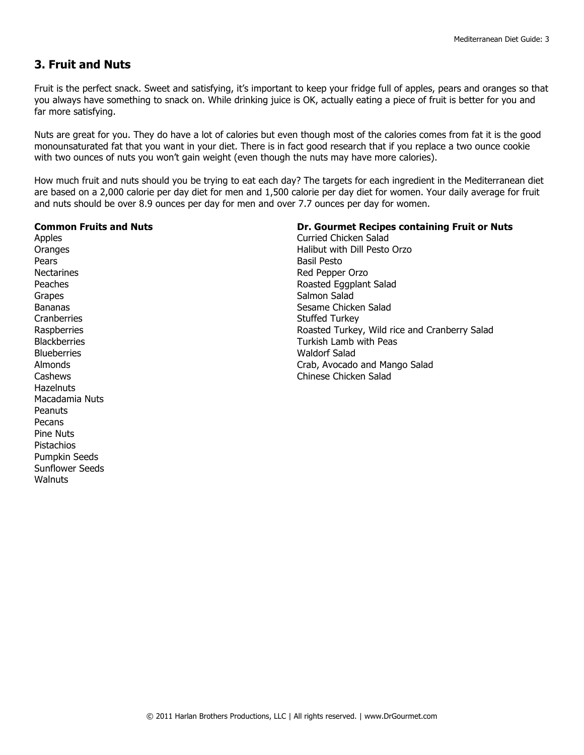# **3. Fruit and Nuts**

Fruit is the perfect snack. Sweet and satisfying, it's important to keep your fridge full of apples, pears and oranges so that you always have something to snack on. While drinking juice is OK, actually eating a piece of fruit is better for you and far more satisfying.

Nuts are great for you. They do have a lot of calories but even though most of the calories comes from fat it is the good monounsaturated fat that you want in your diet. There is in fact good research that if you replace a two ounce cookie with two ounces of nuts you won't gain weight (even though the nuts may have more calories).

How much fruit and nuts should you be trying to eat each day? The targets for each ingredient in the Mediterranean diet are based on a 2,000 calorie per day diet for men and 1,500 calorie per day diet for women. Your daily average for fruit and nuts should be over 8.9 ounces per day for men and over 7.7 ounces per day for women.

#### **Common Fruits and Nuts**

Apples **Oranges** Pears **Nectarines** Peaches Grapes Bananas **Cranberries Raspberries Blackberries Blueberries** Almonds Cashews **Hazelnuts** Macadamia Nuts **Peanuts** Pecans Pine Nuts Pistachios Pumpkin Seeds Sunflower Seeds **Walnuts** 

#### **Dr. Gourmet Recipes containing Fruit or Nuts**

Curried Chicken Salad Halibut with Dill Pesto Orzo Basil Pesto Red Pepper Orzo Roasted Eggplant Salad Salmon Salad Sesame Chicken Salad Stuffed Turkey Roasted Turkey, Wild rice and Cranberry Salad Turkish Lamb with Peas Waldorf Salad Crab, Avocado and Mango Salad Chinese Chicken Salad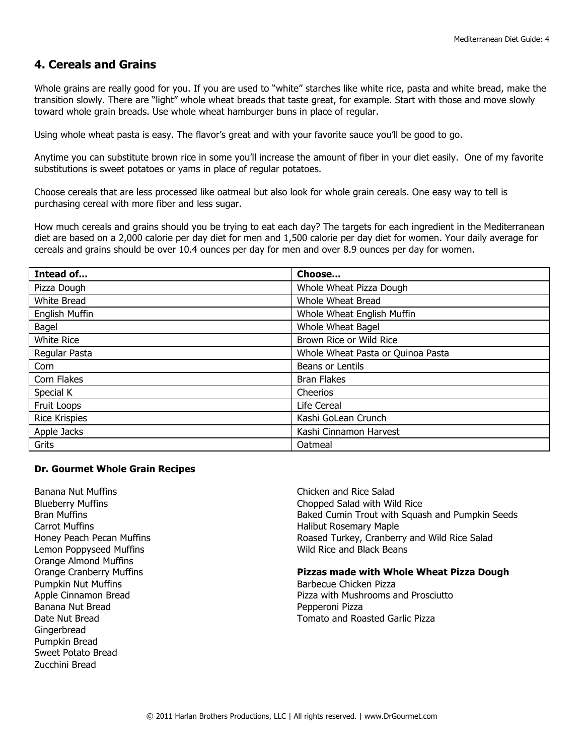## **4. Cereals and Grains**

Whole grains are really good for you. If you are used to "white" starches like white rice, pasta and white bread, make the transition slowly. There are "light" whole wheat breads that taste great, for example. Start with those and move slowly toward whole grain breads. Use whole wheat hamburger buns in place of regular.

Using whole wheat pasta is easy. The flavor's great and with your favorite sauce you'll be good to go.

Anytime you can substitute brown rice in some you'll increase the amount of fiber in your diet easily. One of my favorite substitutions is sweet potatoes or yams in place of regular potatoes.

Choose cereals that are less processed like oatmeal but also look for whole grain cereals. One easy way to tell is purchasing cereal with more fiber and less sugar.

How much cereals and grains should you be trying to eat each day? The targets for each ingredient in the Mediterranean diet are based on a 2,000 calorie per day diet for men and 1,500 calorie per day diet for women. Your daily average for cereals and grains should be over 10.4 ounces per day for men and over 8.9 ounces per day for women.

| Intead of             | Choose                            |
|-----------------------|-----------------------------------|
| Pizza Dough           | Whole Wheat Pizza Dough           |
| White Bread           | Whole Wheat Bread                 |
| <b>English Muffin</b> | Whole Wheat English Muffin        |
| Bagel                 | Whole Wheat Bagel                 |
| White Rice            | Brown Rice or Wild Rice           |
| Regular Pasta         | Whole Wheat Pasta or Quinoa Pasta |
| Corn                  | Beans or Lentils                  |
| Corn Flakes           | <b>Bran Flakes</b>                |
| Special K             | Cheerios                          |
| Fruit Loops           | Life Cereal                       |
| <b>Rice Krispies</b>  | Kashi GoLean Crunch               |
| Apple Jacks           | Kashi Cinnamon Harvest            |
| Grits                 | Oatmeal                           |

#### **Dr. Gourmet Whole Grain Recipes**

Banana Nut Muffins Blueberry Muffins Bran Muffins Carrot Muffins Honey Peach Pecan Muffins Lemon Poppyseed Muffins Orange Almond Muffins Orange Cranberry Muffins Pumpkin Nut Muffins Apple Cinnamon Bread Banana Nut Bread Date Nut Bread **Gingerbread** Pumpkin Bread Sweet Potato Bread Zucchini Bread

Chicken and Rice Salad Chopped Salad with Wild Rice Baked Cumin Trout with Squash and Pumpkin Seeds Halibut Rosemary Maple Roased Turkey, Cranberry and Wild Rice Salad Wild Rice and Black Beans

#### **Pizzas made with Whole Wheat Pizza Dough**

Barbecue Chicken Pizza Pizza with Mushrooms and Prosciutto Pepperoni Pizza Tomato and Roasted Garlic Pizza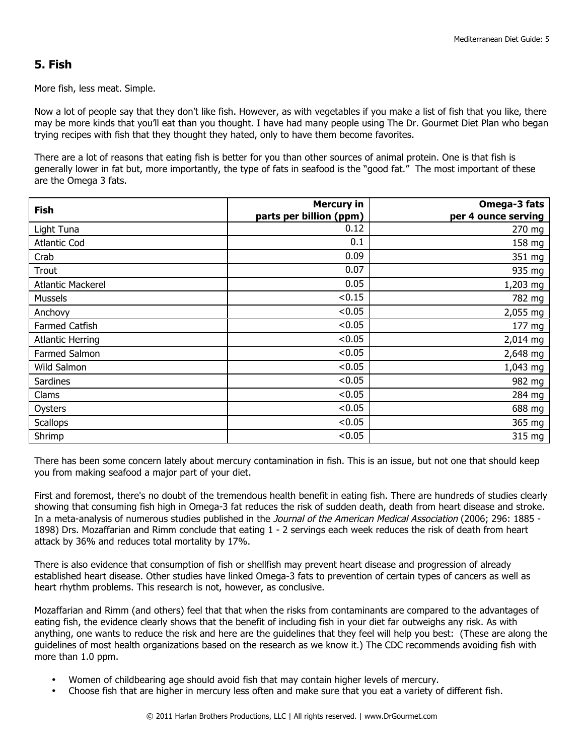# **5. Fish**

More fish, less meat. Simple.

Now a lot of people say that they don't like fish. However, as with vegetables if you make a list of fish that you like, there may be more kinds that you'll eat than you thought. I have had many people using The Dr. Gourmet Diet Plan who began trying recipes with fish that they thought they hated, only to have them become favorites.

There are a lot of reasons that eating fish is better for you than other sources of animal protein. One is that fish is generally lower in fat but, more importantly, the type of fats in seafood is the "good fat." The most important of these are the Omega 3 fats.

| <b>Fish</b>              | <b>Mercury in</b>       | Omega-3 fats        |
|--------------------------|-------------------------|---------------------|
|                          | parts per billion (ppm) | per 4 ounce serving |
| Light Tuna               | 0.12                    | 270 mg              |
| <b>Atlantic Cod</b>      | 0.1                     | 158 mg              |
| Crab                     | 0.09                    | 351 mg              |
| Trout                    | 0.07                    | 935 mg              |
| <b>Atlantic Mackerel</b> | 0.05                    | 1,203 mg            |
| <b>Mussels</b>           | < 0.15                  | 782 mg              |
| Anchovy                  | < 0.05                  | 2,055 mg            |
| Farmed Catfish           | < 0.05                  | 177 mg              |
| <b>Atlantic Herring</b>  | < 0.05                  | 2,014 mg            |
| Farmed Salmon            | < 0.05                  | 2,648 mg            |
| Wild Salmon              | < 0.05                  | 1,043 mg            |
| <b>Sardines</b>          | < 0.05                  | 982 mg              |
| Clams                    | < 0.05                  | 284 mg              |
| Oysters                  | < 0.05                  | 688 mg              |
| <b>Scallops</b>          | < 0.05                  | 365 mg              |
| Shrimp                   | < 0.05                  | 315 mg              |

There has been some concern lately about mercury contamination in fish. This is an issue, but not one that should keep you from making seafood a major part of your diet.

First and foremost, there's no doubt of the tremendous health benefit in eating fish. There are hundreds of studies clearly showing that consuming fish high in Omega-3 fat reduces the risk of sudden death, death from heart disease and stroke. In a meta-analysis of numerous studies published in the Journal of the American Medical Association (2006; 296: 1885 -1898) Drs. Mozaffarian and Rimm conclude that eating 1 - 2 servings each week reduces the risk of death from heart attack by 36% and reduces total mortality by 17%.

There is also evidence that consumption of fish or shellfish may prevent heart disease and progression of already established heart disease. Other studies have linked Omega-3 fats to prevention of certain types of cancers as well as heart rhythm problems. This research is not, however, as conclusive.

Mozaffarian and Rimm (and others) feel that that when the risks from contaminants are compared to the advantages of eating fish, the evidence clearly shows that the benefit of including fish in your diet far outweighs any risk. As with anything, one wants to reduce the risk and here are the guidelines that they feel will help you best: (These are along the guidelines of most health organizations based on the research as we know it.) The CDC recommends avoiding fish with more than 1.0 ppm.

- Women of childbearing age should avoid fish that may contain higher levels of mercury.
- Choose fish that are higher in mercury less often and make sure that you eat a variety of different fish.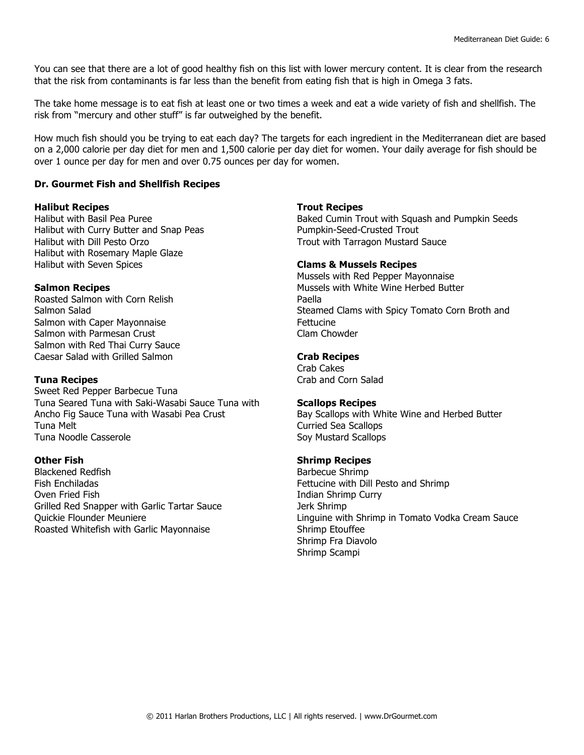You can see that there are a lot of good healthy fish on this list with lower mercury content. It is clear from the research that the risk from contaminants is far less than the benefit from eating fish that is high in Omega 3 fats.

The take home message is to eat fish at least one or two times a week and eat a wide variety of fish and shellfish. The risk from "mercury and other stuff" is far outweighed by the benefit.

How much fish should you be trying to eat each day? The targets for each ingredient in the Mediterranean diet are based on a 2,000 calorie per day diet for men and 1,500 calorie per day diet for women. Your daily average for fish should be over 1 ounce per day for men and over 0.75 ounces per day for women.

#### **Dr. Gourmet Fish and Shellfish Recipes**

#### **Halibut Recipes**

Halibut with Basil Pea Puree Halibut with Curry Butter and Snap Peas Halibut with Dill Pesto Orzo Halibut with Rosemary Maple Glaze Halibut with Seven Spices

#### **Salmon Recipes**

Roasted Salmon with Corn Relish Salmon Salad Salmon with Caper Mayonnaise Salmon with Parmesan Crust Salmon with Red Thai Curry Sauce Caesar Salad with Grilled Salmon

#### **Tuna Recipes**

Sweet Red Pepper Barbecue Tuna Tuna Seared Tuna with Saki-Wasabi Sauce Tuna with Ancho Fig Sauce Tuna with Wasabi Pea Crust Tuna Melt Tuna Noodle Casserole

#### **Other Fish**

Blackened Redfish Fish Enchiladas Oven Fried Fish Grilled Red Snapper with Garlic Tartar Sauce Quickie Flounder Meuniere Roasted Whitefish with Garlic Mayonnaise

#### **Trout Recipes**

Baked Cumin Trout with Squash and Pumpkin Seeds Pumpkin-Seed-Crusted Trout Trout with Tarragon Mustard Sauce

#### **Clams & Mussels Recipes**

Mussels with Red Pepper Mayonnaise Mussels with White Wine Herbed Butter Paella Steamed Clams with Spicy Tomato Corn Broth and Fettucine Clam Chowder

#### **Crab Recipes**

Crab Cakes Crab and Corn Salad

#### **Scallops Recipes**

Bay Scallops with White Wine and Herbed Butter Curried Sea Scallops Soy Mustard Scallops

#### **Shrimp Recipes**

Barbecue Shrimp Fettucine with Dill Pesto and Shrimp Indian Shrimp Curry Jerk Shrimp Linguine with Shrimp in Tomato Vodka Cream Sauce Shrimp Etouffee Shrimp Fra Diavolo Shrimp Scampi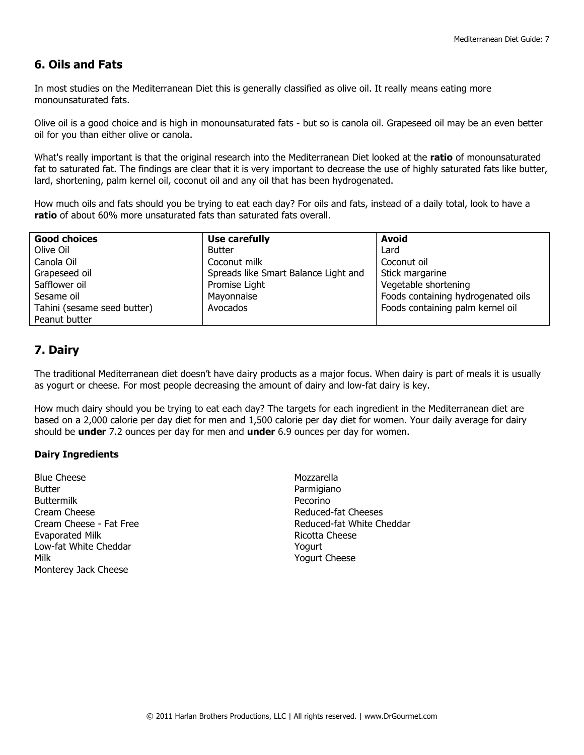# **6. Oils and Fats**

In most studies on the Mediterranean Diet this is generally classified as olive oil. It really means eating more monounsaturated fats.

Olive oil is a good choice and is high in monounsaturated fats - but so is canola oil. Grapeseed oil may be an even better oil for you than either olive or canola.

What's really important is that the original research into the Mediterranean Diet looked at the **ratio** of monounsaturated fat to saturated fat. The findings are clear that it is very important to decrease the use of highly saturated fats like butter, lard, shortening, palm kernel oil, coconut oil and any oil that has been hydrogenated.

How much oils and fats should you be trying to eat each day? For oils and fats, instead of a daily total, look to have a **ratio** of about 60% more unsaturated fats than saturated fats overall.

| <b>Good choices</b>         | Use carefully                        | <b>Avoid</b>                       |
|-----------------------------|--------------------------------------|------------------------------------|
| Olive Oil                   | Butter                               | Lard                               |
| Canola Oil                  | Coconut milk                         | Coconut oil                        |
| Grapeseed oil               | Spreads like Smart Balance Light and | Stick margarine                    |
| Safflower oil               | Promise Light                        | Vegetable shortening               |
| Sesame oil                  | Mayonnaise                           | Foods containing hydrogenated oils |
| Tahini (sesame seed butter) | Avocados                             | Foods containing palm kernel oil   |
| Peanut butter               |                                      |                                    |

# **7. Dairy**

The traditional Mediterranean diet doesn't have dairy products as a major focus. When dairy is part of meals it is usually as yogurt or cheese. For most people decreasing the amount of dairy and low-fat dairy is key.

How much dairy should you be trying to eat each day? The targets for each ingredient in the Mediterranean diet are based on a 2,000 calorie per day diet for men and 1,500 calorie per day diet for women. Your daily average for dairy should be **under** 7.2 ounces per day for men and **under** 6.9 ounces per day for women.

### **Dairy Ingredients**

Blue Cheese Butter Buttermilk Cream Cheese Cream Cheese - Fat Free Evaporated Milk Low-fat White Cheddar Milk Monterey Jack Cheese

Mozzarella Parmigiano Pecorino Reduced-fat Cheeses Reduced-fat White Cheddar Ricotta Cheese Yogurt Yogurt Cheese